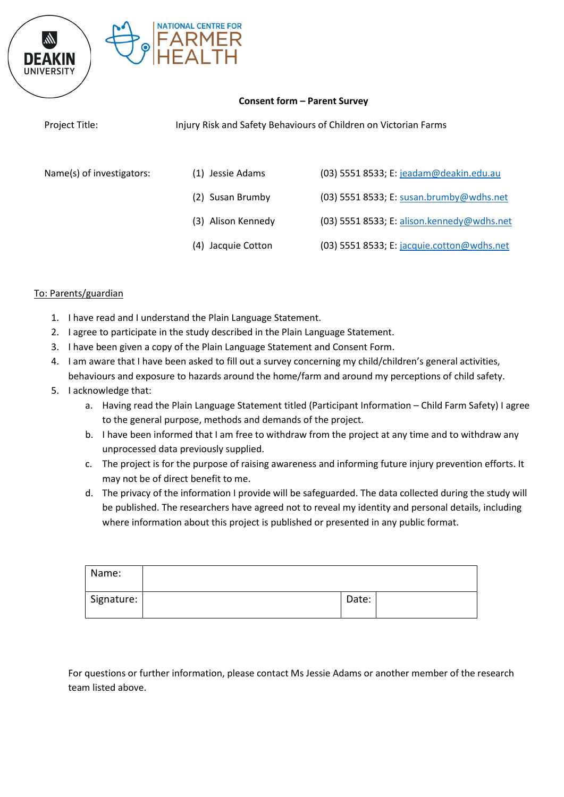

## **Consent form – Parent Survey**

Project Title: Injury Risk and Safety Behaviours of Children on Victorian Farms

- Name(s) of investigators: (1) Jessie Adams (03) 5551 8533; E: [jeadam@deakin.edu.au](mailto:jeadam@deakin.edu.au)
	- (2) Susan Brumby (03) 5551 8533; E: [susan.brumby@wdhs.net](mailto:susan.brumby@wdhs.net)
	- (3) Alison Kennedy (03) 5551 8533; E: [alison.kennedy@wdhs.net](mailto:alison.kennedy@wdhs.net)
	- (4) Jacquie Cotton (03) 5551 8533; E: [jacquie.cotton@wdhs.net](mailto:jacquie.cotton@wdhs.net)

## To: Parents/guardian

- 1. I have read and I understand the Plain Language Statement.
- 2. I agree to participate in the study described in the Plain Language Statement.
- 3. I have been given a copy of the Plain Language Statement and Consent Form.
- 4. I am aware that I have been asked to fill out a survey concerning my child/children's general activities, behaviours and exposure to hazards around the home/farm and around my perceptions of child safety.
- 5. I acknowledge that:
	- a. Having read the Plain Language Statement titled (Participant Information Child Farm Safety) I agree to the general purpose, methods and demands of the project.
	- b. I have been informed that I am free to withdraw from the project at any time and to withdraw any unprocessed data previously supplied.
	- c. The project is for the purpose of raising awareness and informing future injury prevention efforts. It may not be of direct benefit to me.
	- d. The privacy of the information I provide will be safeguarded. The data collected during the study will be published. The researchers have agreed not to reveal my identity and personal details, including where information about this project is published or presented in any public format.

| Name:      |       |  |
|------------|-------|--|
| Signature: | Date: |  |

For questions or further information, please contact Ms Jessie Adams or another member of the research team listed above.